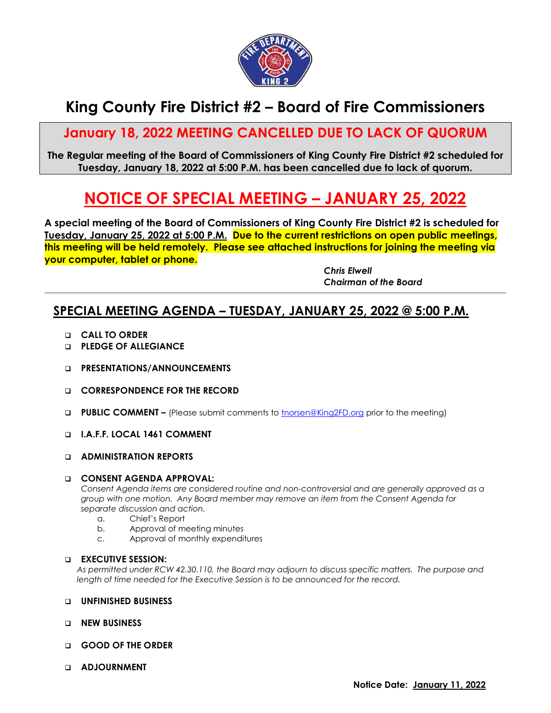

# **King County Fire District #2 – Board of Fire Commissioners**

## **January 18, 2022 MEETING CANCELLED DUE TO LACK OF QUORUM**

**The Regular meeting of the Board of Commissioners of King County Fire District #2 scheduled for Tuesday, January 18, 2022 at 5:00 P.M. has been cancelled due to lack of quorum.**

# **NOTICE OF SPECIAL MEETING – JANUARY 25, 2022**

**A special meeting of the Board of Commissioners of King County Fire District #2 is scheduled for Tuesday, January 25, 2022 at 5:00 P.M. Due to the current restrictions on open public meetings, this meeting will be held remotely. Please see attached instructions for joining the meeting via your computer, tablet or phone.**

> *Chris Elwell Chairman of the Board*

## **SPECIAL MEETING AGENDA – TUESDAY, JANUARY 25, 2022 @ 5:00 P.M.**

- **CALL TO ORDER**
- **PLEDGE OF ALLEGIANCE**
- **PRESENTATIONS/ANNOUNCEMENTS**
- **CORRESPONDENCE FOR THE RECORD**
- **PUBLIC COMMENT –** (Please submit comments to [tnorsen@King2FD.org](mailto:tnorsen@King2FD.org) prior to the meeting)
- **I.A.F.F. LOCAL 1461 COMMENT**
- **ADMINISTRATION REPORTS**

#### **CONSENT AGENDA APPROVAL:**

*Consent Agenda items are considered routine and non-controversial and are generally approved as a group with one motion. Any Board member may remove an item from the Consent Agenda for separate discussion and action.*

- a. Chief's Report
- b. Approval of meeting minutes
- c. Approval of monthly expenditures

#### **EXECUTIVE SESSION:**

*As permitted under RCW 42.30.110, the Board may adjourn to discuss specific matters. The purpose and length of time needed for the Executive Session is to be announced for the record.*

#### **UNFINISHED BUSINESS**

- **NEW BUSINESS**
- **GOOD OF THE ORDER**
- **ADJOURNMENT**